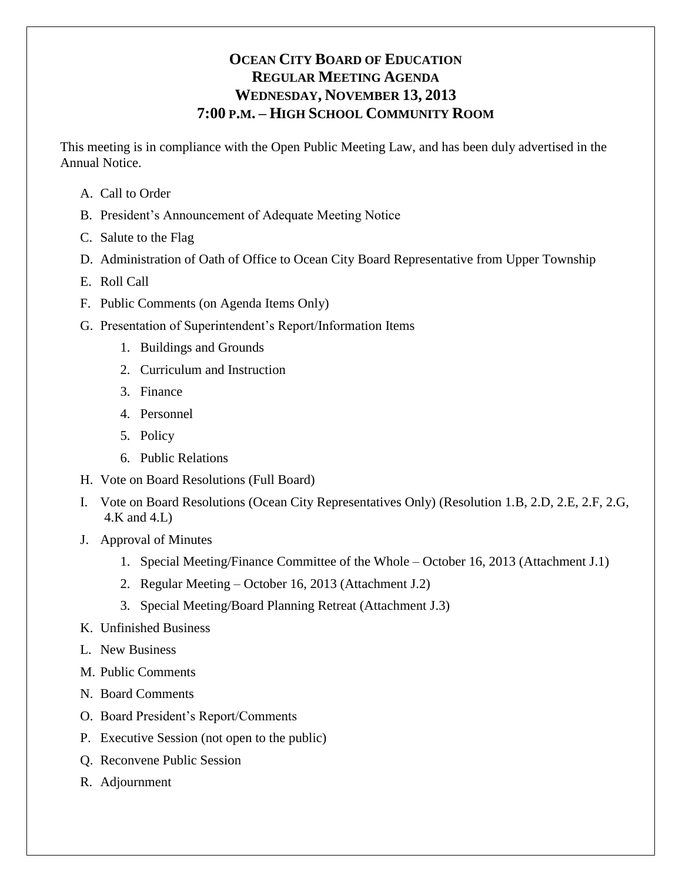# **OCEAN CITY BOARD OF EDUCATION REGULAR MEETING AGENDA WEDNESDAY, NOVEMBER 13, 2013 7:00 P.M. – HIGH SCHOOL COMMUNITY ROOM**

This meeting is in compliance with the Open Public Meeting Law, and has been duly advertised in the Annual Notice.

- A. Call to Order
- B. President's Announcement of Adequate Meeting Notice
- C. Salute to the Flag
- D. Administration of Oath of Office to Ocean City Board Representative from Upper Township
- E. Roll Call
- F. Public Comments (on Agenda Items Only)
- G. Presentation of Superintendent's Report/Information Items
	- 1. Buildings and Grounds
	- 2. Curriculum and Instruction
	- 3. Finance
	- 4. Personnel
	- 5. Policy
	- 6. Public Relations
- H. Vote on Board Resolutions (Full Board)
- I. Vote on Board Resolutions (Ocean City Representatives Only) (Resolution 1.B, 2.D, 2.E, 2.F, 2.G, 4.K and 4.L)
- J. Approval of Minutes
	- 1. Special Meeting/Finance Committee of the Whole October 16, 2013 (Attachment J.1)
	- 2. Regular Meeting October 16, 2013 (Attachment J.2)
	- 3. Special Meeting/Board Planning Retreat (Attachment J.3)
- K. Unfinished Business
- L. New Business
- M. Public Comments
- N. Board Comments
- O. Board President's Report/Comments
- P. Executive Session (not open to the public)
- Q. Reconvene Public Session
- R. Adjournment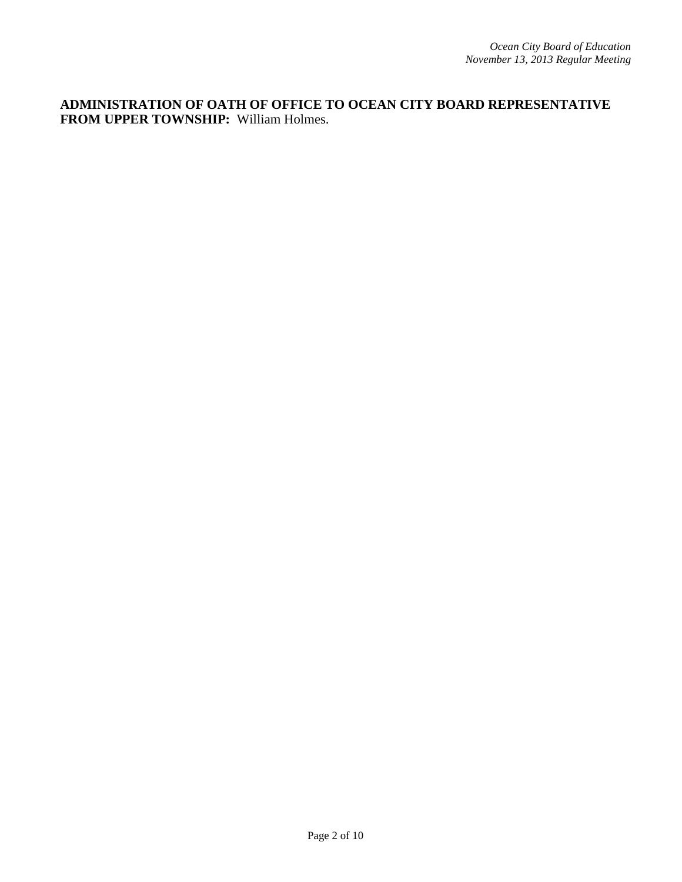**ADMINISTRATION OF OATH OF OFFICE TO OCEAN CITY BOARD REPRESENTATIVE FROM UPPER TOWNSHIP:** William Holmes.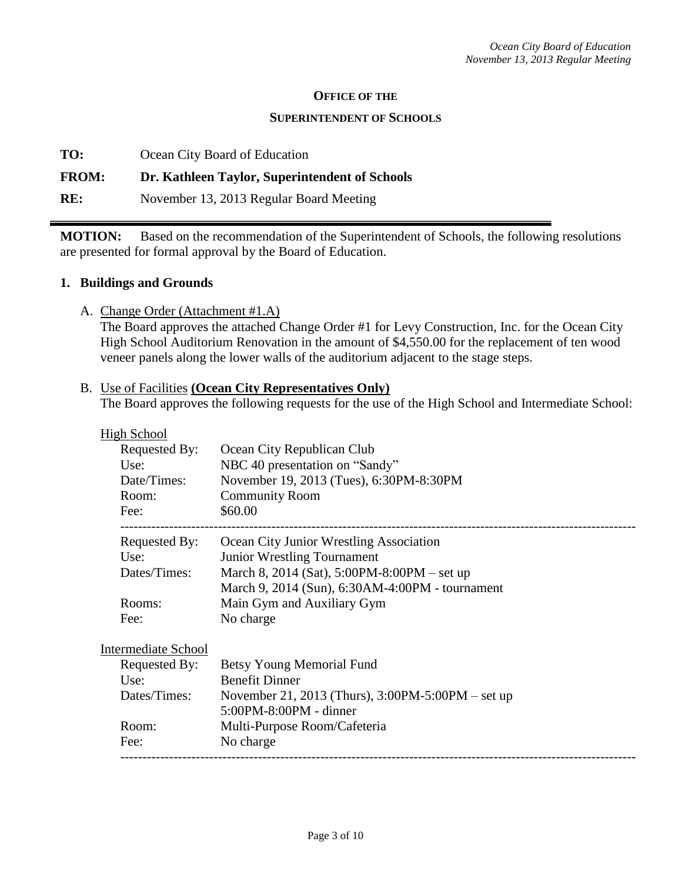#### **OFFICE OF THE**

#### **SUPERINTENDENT OF SCHOOLS**

**TO:** Ocean City Board of Education

### **FROM: Dr. Kathleen Taylor, Superintendent of Schools**

**RE:** November 13, 2013 Regular Board Meeting

**MOTION:** Based on the recommendation of the Superintendent of Schools, the following resolutions are presented for formal approval by the Board of Education.

#### **1. Buildings and Grounds**

A. Change Order (Attachment #1.A)

The Board approves the attached Change Order #1 for Levy Construction, Inc. for the Ocean City High School Auditorium Renovation in the amount of \$4,550.00 for the replacement of ten wood veneer panels along the lower walls of the auditorium adjacent to the stage steps.

### B. Use of Facilities **(Ocean City Representatives Only)** The Board approves the following requests for the use of the High School and Intermediate School:

| <b>High School</b>        |                                                 |
|---------------------------|-------------------------------------------------|
| Requested By:             | Ocean City Republican Club                      |
| Use:                      | NBC 40 presentation on "Sandy"                  |
| Date/Times:               | November 19, 2013 (Tues), 6:30PM-8:30PM         |
| Room:                     | <b>Community Room</b>                           |
| Fee:                      | \$60.00                                         |
| Requested By:             | Ocean City Junior Wrestling Association         |
| Use:                      | <b>Junior Wrestling Tournament</b>              |
| Dates/Times:              | March 8, 2014 (Sat), 5:00PM-8:00PM – set up     |
|                           | March 9, 2014 (Sun), 6:30AM-4:00PM - tournament |
| Rooms:                    | Main Gym and Auxiliary Gym                      |
| Fee:                      | No charge                                       |
| $In$ tampadiata $Sq$ haal |                                                 |

Intermediate School

| Requested By: | Betsy Young Memorial Fund                             |
|---------------|-------------------------------------------------------|
| Use:          | <b>Benefit Dinner</b>                                 |
| Dates/Times:  | November 21, 2013 (Thurs), $3:00PM - 5:00PM - set up$ |
|               | $5:00PM - 8:00PM -$ dinner                            |
| Room:         | Multi-Purpose Room/Cafeteria                          |
| Fee:          | No charge                                             |
|               |                                                       |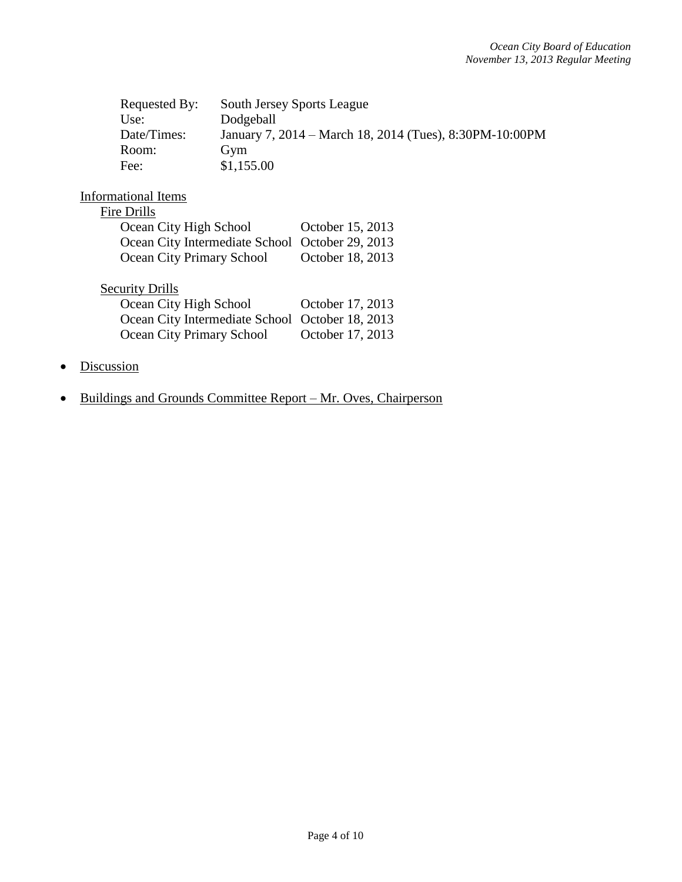| Requested By: | <b>South Jersey Sports League</b>                       |
|---------------|---------------------------------------------------------|
| Use:          | Dodgeball                                               |
| Date/Times:   | January 7, 2014 – March 18, 2014 (Tues), 8:30PM-10:00PM |
| Room:         | Gym                                                     |
| Fee:          | \$1,155.00                                              |

## Informational Items

| Ocean City High School                          | October 15, 2013 |
|-------------------------------------------------|------------------|
| Ocean City Intermediate School October 29, 2013 |                  |
| <b>Ocean City Primary School</b>                | October 18, 2013 |

# **Security Drills**

| Ocean City High School                          | October 17, 2013 |
|-------------------------------------------------|------------------|
| Ocean City Intermediate School October 18, 2013 |                  |
| Ocean City Primary School                       | October 17, 2013 |

- Discussion
- Buildings and Grounds Committee Report Mr. Oves, Chairperson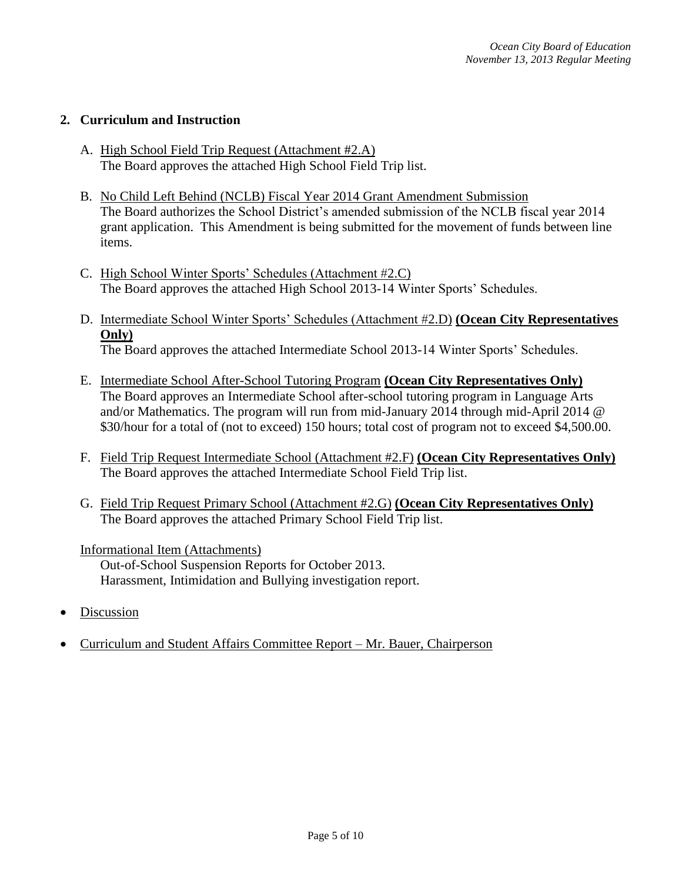### **2. Curriculum and Instruction**

- A. High School Field Trip Request (Attachment #2.A) The Board approves the attached High School Field Trip list.
- B. No Child Left Behind (NCLB) Fiscal Year 2014 Grant Amendment Submission The Board authorizes the School District's amended submission of the NCLB fiscal year 2014 grant application. This Amendment is being submitted for the movement of funds between line items.
- C. High School Winter Sports' Schedules (Attachment #2.C) The Board approves the attached High School 2013-14 Winter Sports' Schedules.
- D. Intermediate School Winter Sports' Schedules (Attachment #2.D) **(Ocean City Representatives Only)** The Board approves the attached Intermediate School 2013-14 Winter Sports' Schedules.
- E. Intermediate School After-School Tutoring Program **(Ocean City Representatives Only)** The Board approves an Intermediate School after-school tutoring program in Language Arts and/or Mathematics. The program will run from mid-January 2014 through mid-April 2014 @ \$30/hour for a total of (not to exceed) 150 hours; total cost of program not to exceed \$4,500.00.
- F. Field Trip Request Intermediate School (Attachment #2.F) **(Ocean City Representatives Only)** The Board approves the attached Intermediate School Field Trip list.
- G. Field Trip Request Primary School (Attachment #2.G) **(Ocean City Representatives Only)** The Board approves the attached Primary School Field Trip list.

Informational Item (Attachments)

Out-of-School Suspension Reports for October 2013. Harassment, Intimidation and Bullying investigation report.

- Discussion
- Curriculum and Student Affairs Committee Report Mr. Bauer, Chairperson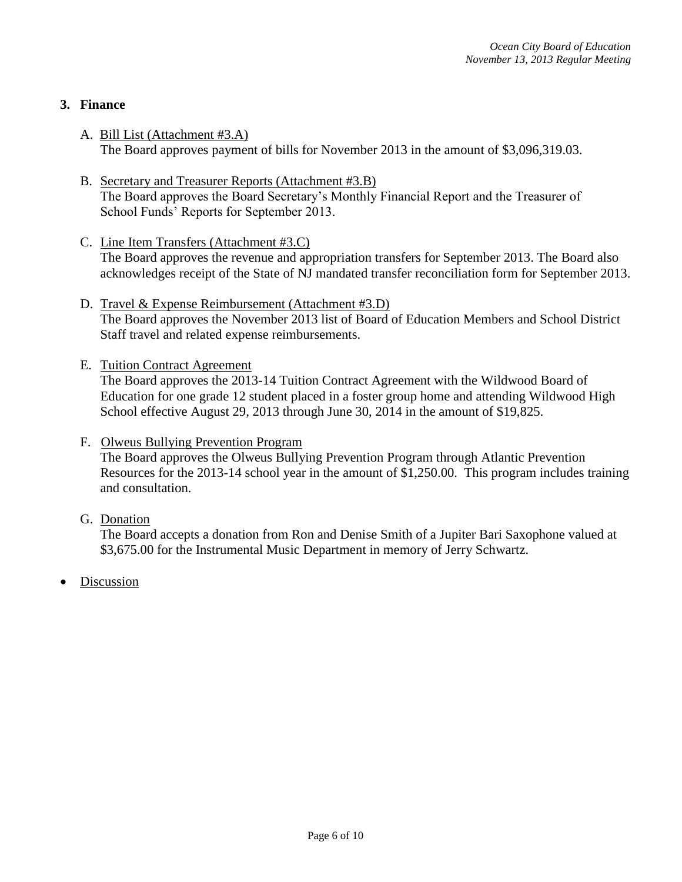## **3. Finance**

- A. Bill List (Attachment #3.A) The Board approves payment of bills for November 2013 in the amount of \$3,096,319.03.
- B. Secretary and Treasurer Reports (Attachment #3.B) The Board approves the Board Secretary's Monthly Financial Report and the Treasurer of School Funds' Reports for September 2013.
- C. Line Item Transfers (Attachment #3.C) The Board approves the revenue and appropriation transfers for September 2013. The Board also acknowledges receipt of the State of NJ mandated transfer reconciliation form for September 2013.
- D. Travel & Expense Reimbursement (Attachment #3.D) The Board approves the November 2013 list of Board of Education Members and School District Staff travel and related expense reimbursements.
- E. Tuition Contract Agreement The Board approves the 2013-14 Tuition Contract Agreement with the Wildwood Board of Education for one grade 12 student placed in a foster group home and attending Wildwood High School effective August 29, 2013 through June 30, 2014 in the amount of \$19,825.
- F. Olweus Bullying Prevention Program The Board approves the Olweus Bullying Prevention Program through Atlantic Prevention Resources for the 2013-14 school year in the amount of \$1,250.00. This program includes training and consultation.
- G. Donation

The Board accepts a donation from Ron and Denise Smith of a Jupiter Bari Saxophone valued at \$3,675.00 for the Instrumental Music Department in memory of Jerry Schwartz.

Discussion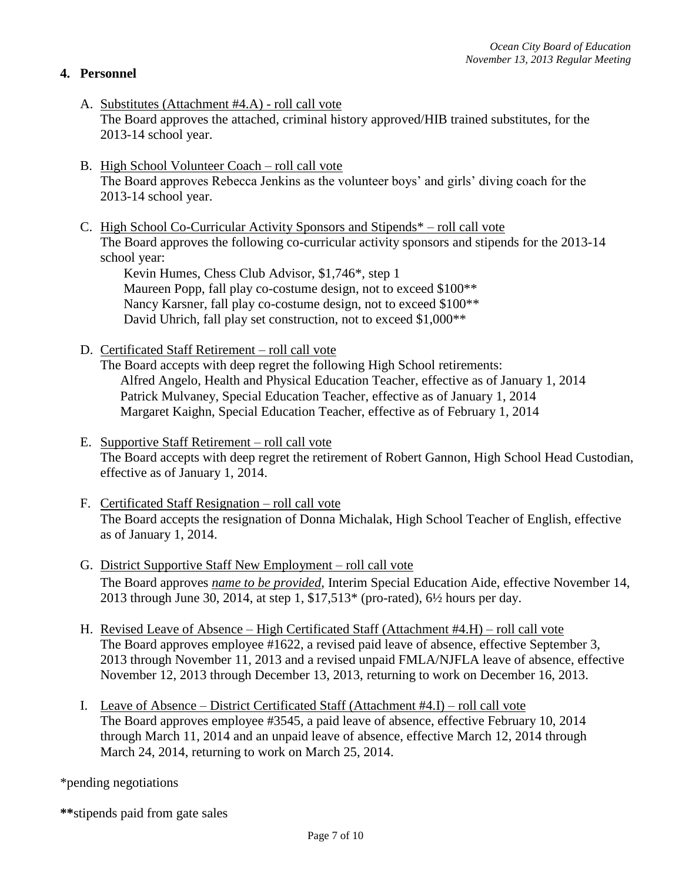## **4. Personnel**

- A. Substitutes (Attachment #4.A) roll call vote The Board approves the attached, criminal history approved/HIB trained substitutes, for the 2013-14 school year.
- B. High School Volunteer Coach roll call vote The Board approves Rebecca Jenkins as the volunteer boys' and girls' diving coach for the 2013-14 school year.
- C. High School Co-Curricular Activity Sponsors and Stipends\* roll call vote The Board approves the following co-curricular activity sponsors and stipends for the 2013-14 school year:

Kevin Humes, Chess Club Advisor, \$1,746\*, step 1 Maureen Popp, fall play co-costume design, not to exceed \$100\*\* Nancy Karsner, fall play co-costume design, not to exceed \$100\*\* David Uhrich, fall play set construction, not to exceed \$1,000\*\*

D. Certificated Staff Retirement – roll call vote

The Board accepts with deep regret the following High School retirements: Alfred Angelo, Health and Physical Education Teacher, effective as of January 1, 2014 Patrick Mulvaney, Special Education Teacher, effective as of January 1, 2014 Margaret Kaighn, Special Education Teacher, effective as of February 1, 2014

- E. Supportive Staff Retirement roll call vote The Board accepts with deep regret the retirement of Robert Gannon, High School Head Custodian, effective as of January 1, 2014.
- F. Certificated Staff Resignation roll call vote The Board accepts the resignation of Donna Michalak, High School Teacher of English, effective as of January 1, 2014.
- G. District Supportive Staff New Employment roll call vote The Board approves *name to be provided*, Interim Special Education Aide, effective November 14, 2013 through June 30, 2014, at step 1, \$17,513\* (pro-rated), 6½ hours per day.
- H. Revised Leave of Absence High Certificated Staff (Attachment #4.H) roll call vote The Board approves employee #1622, a revised paid leave of absence, effective September 3, 2013 through November 11, 2013 and a revised unpaid FMLA/NJFLA leave of absence, effective November 12, 2013 through December 13, 2013, returning to work on December 16, 2013.
- I. Leave of Absence District Certificated Staff (Attachment #4.I) roll call vote The Board approves employee #3545, a paid leave of absence, effective February 10, 2014 through March 11, 2014 and an unpaid leave of absence, effective March 12, 2014 through March 24, 2014, returning to work on March 25, 2014.

\*pending negotiations

**\*\***stipends paid from gate sales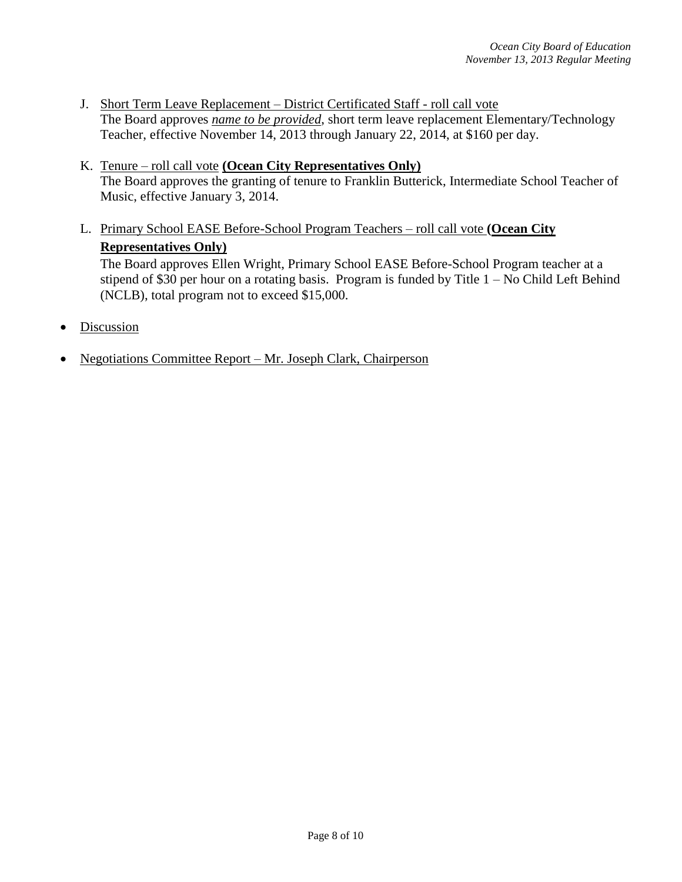- J. Short Term Leave Replacement District Certificated Staff roll call vote The Board approves *name to be provided*, short term leave replacement Elementary/Technology Teacher, effective November 14, 2013 through January 22, 2014, at \$160 per day.
- K. Tenure roll call vote **(Ocean City Representatives Only)** The Board approves the granting of tenure to Franklin Butterick, Intermediate School Teacher of Music, effective January 3, 2014.
- L. Primary School EASE Before-School Program Teachers roll call vote **(Ocean City Representatives Only)**

The Board approves Ellen Wright, Primary School EASE Before-School Program teacher at a stipend of \$30 per hour on a rotating basis. Program is funded by Title  $1 - No$  Child Left Behind (NCLB), total program not to exceed \$15,000.

- Discussion
- Negotiations Committee Report Mr. Joseph Clark, Chairperson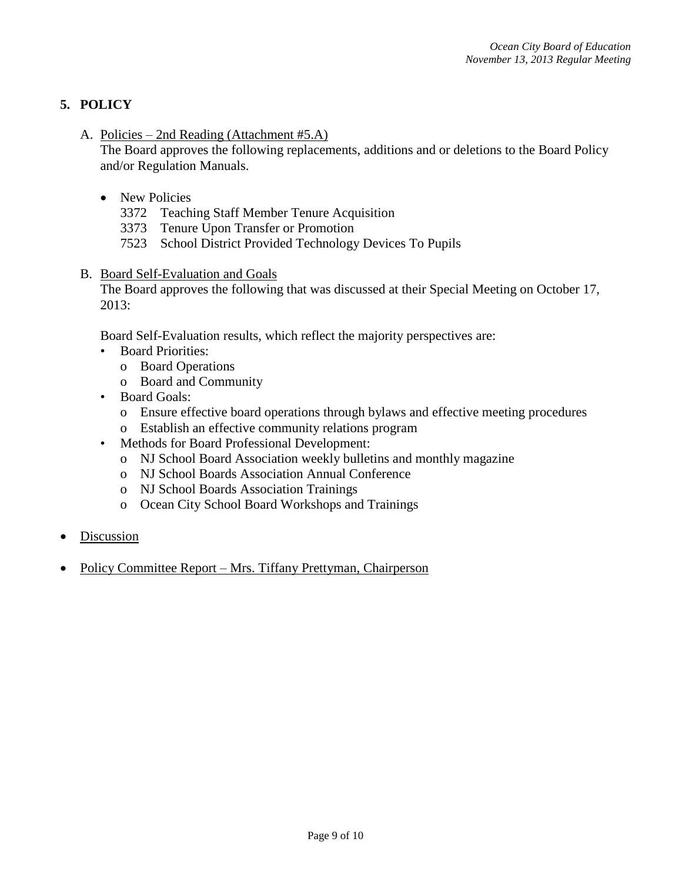# **5. POLICY**

A. Policies – 2nd Reading (Attachment #5.A)

The Board approves the following replacements, additions and or deletions to the Board Policy and/or Regulation Manuals.

- New Policies
	- 3372 Teaching Staff Member Tenure Acquisition
	- 3373 Tenure Upon Transfer or Promotion
	- 7523 School District Provided Technology Devices To Pupils
- B. Board Self-Evaluation and Goals

The Board approves the following that was discussed at their Special Meeting on October 17, 2013:

Board Self-Evaluation results, which reflect the majority perspectives are:

- Board Priorities:
	- o Board Operations
	- o Board and Community
- Board Goals:
	- o Ensure effective board operations through bylaws and effective meeting procedures
	- o Establish an effective community relations program
- Methods for Board Professional Development:
	- o NJ School Board Association weekly bulletins and monthly magazine
	- o NJ School Boards Association Annual Conference
	- o NJ School Boards Association Trainings
	- o Ocean City School Board Workshops and Trainings
- Discussion
- Policy Committee Report Mrs. Tiffany Prettyman, Chairperson